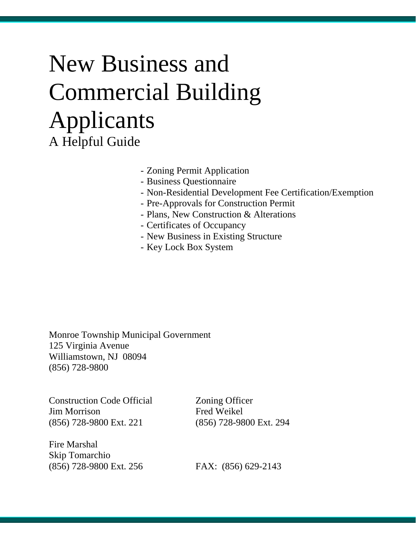# New Business and Commercial Building Applicants A Helpful Guide

- Zoning Permit Application

- Business Questionnaire
- Non-Residential Development Fee Certification/Exemption
- Pre-Approvals for Construction Permit
- Plans, New Construction & Alterations
- Certificates of Occupancy
- New Business in Existing Structure
- Key Lock Box System

Monroe Township Municipal Government 125 Virginia Avenue Williamstown, NJ 08094 (856) 728-9800

Construction Code Official Zoning Officer Jim Morrison Fred Weikel (856) 728-9800 Ext. 221 (856) 728-9800 Ext. 294

Fire Marshal Skip Tomarchio (856) 728-9800 Ext. 256 FAX: (856) 629-2143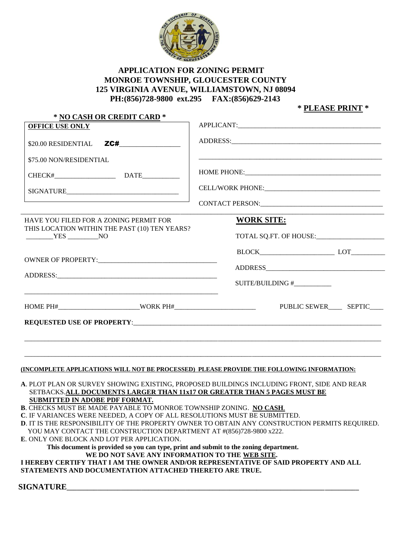

#### **APPLICATION FOR ZONING PERMIT MONROE TOWNSHIP, GLOUCESTER COUNTY 125 VIRGINIA AVENUE, WILLIAMSTOWN, NJ 08094 PH:(856)728-9800 ext.295 FAX:(856)629-2143**

 **\* PLEASE PRINT \*** 

| $$20.00$ RESIDENTIAL $Z$ C#<br>\$75.00 NON/RESIDENTIAL<br><b>WORK SITE:</b><br>HAVE YOU FILED FOR A ZONING PERMIT FOR<br>THIS LOCATION WITHIN THE PAST (10) TEN YEARS?<br>TOTAL SQ.FT. OF HOUSE:<br>$YES$ NO<br>SUITE/BUILDING #____________<br>(INCOMPLETE APPLICATIONS WILL NOT BE PROCESSED) PLEASE PROVIDE THE FOLLOWING INFORMATION:<br>A. PLOT PLAN OR SURVEY SHOWING EXISTING, PROPOSED BUILDINGS INCLUDING FRONT, SIDE AND REAR<br>SETBACKS.ALL DOCUMENTS LARGER THAN 11x17 OR GREATER THAN 5 PAGES MUST BE<br>SUBMITTED IN ADOBE PDF FORMAT.<br>B. CHECKS MUST BE MADE PAYABLE TO MONROE TOWNSHIP ZONING. NO CASH.<br>C. IF VARIANCES WERE NEEDED, A COPY OF ALL RESOLUTIONS MUST BE SUBMITTED.<br>D. IT IS THE RESPONSIBILITY OF THE PROPERTY OWNER TO OBTAIN ANY CONSTRUCTION PERMITS REQUIRED.<br>YOU MAY CONTACT THE CONSTRUCTION DEPARTMENT AT #(856)728-9800 x222.<br>E. ONLY ONE BLOCK AND LOT PER APPLICATION.<br>This document is provided so you can type, print and submit to the zoning department.<br>WE DO NOT SAVE ANY INFORMATION TO THE WEB SITE.<br>I HEREBY CERTIFY THAT I AM THE OWNER AND/OR REPRESENTATIVE OF SAID PROPERTY AND ALL<br>STATEMENTS AND DOCUMENTATION ATTACHED THERETO ARE TRUE. |  |  |
|-------------------------------------------------------------------------------------------------------------------------------------------------------------------------------------------------------------------------------------------------------------------------------------------------------------------------------------------------------------------------------------------------------------------------------------------------------------------------------------------------------------------------------------------------------------------------------------------------------------------------------------------------------------------------------------------------------------------------------------------------------------------------------------------------------------------------------------------------------------------------------------------------------------------------------------------------------------------------------------------------------------------------------------------------------------------------------------------------------------------------------------------------------------------------------------------------------------------------------|--|--|
|                                                                                                                                                                                                                                                                                                                                                                                                                                                                                                                                                                                                                                                                                                                                                                                                                                                                                                                                                                                                                                                                                                                                                                                                                               |  |  |
|                                                                                                                                                                                                                                                                                                                                                                                                                                                                                                                                                                                                                                                                                                                                                                                                                                                                                                                                                                                                                                                                                                                                                                                                                               |  |  |
|                                                                                                                                                                                                                                                                                                                                                                                                                                                                                                                                                                                                                                                                                                                                                                                                                                                                                                                                                                                                                                                                                                                                                                                                                               |  |  |
|                                                                                                                                                                                                                                                                                                                                                                                                                                                                                                                                                                                                                                                                                                                                                                                                                                                                                                                                                                                                                                                                                                                                                                                                                               |  |  |
|                                                                                                                                                                                                                                                                                                                                                                                                                                                                                                                                                                                                                                                                                                                                                                                                                                                                                                                                                                                                                                                                                                                                                                                                                               |  |  |
|                                                                                                                                                                                                                                                                                                                                                                                                                                                                                                                                                                                                                                                                                                                                                                                                                                                                                                                                                                                                                                                                                                                                                                                                                               |  |  |
|                                                                                                                                                                                                                                                                                                                                                                                                                                                                                                                                                                                                                                                                                                                                                                                                                                                                                                                                                                                                                                                                                                                                                                                                                               |  |  |
|                                                                                                                                                                                                                                                                                                                                                                                                                                                                                                                                                                                                                                                                                                                                                                                                                                                                                                                                                                                                                                                                                                                                                                                                                               |  |  |
|                                                                                                                                                                                                                                                                                                                                                                                                                                                                                                                                                                                                                                                                                                                                                                                                                                                                                                                                                                                                                                                                                                                                                                                                                               |  |  |
|                                                                                                                                                                                                                                                                                                                                                                                                                                                                                                                                                                                                                                                                                                                                                                                                                                                                                                                                                                                                                                                                                                                                                                                                                               |  |  |
|                                                                                                                                                                                                                                                                                                                                                                                                                                                                                                                                                                                                                                                                                                                                                                                                                                                                                                                                                                                                                                                                                                                                                                                                                               |  |  |
|                                                                                                                                                                                                                                                                                                                                                                                                                                                                                                                                                                                                                                                                                                                                                                                                                                                                                                                                                                                                                                                                                                                                                                                                                               |  |  |
|                                                                                                                                                                                                                                                                                                                                                                                                                                                                                                                                                                                                                                                                                                                                                                                                                                                                                                                                                                                                                                                                                                                                                                                                                               |  |  |
|                                                                                                                                                                                                                                                                                                                                                                                                                                                                                                                                                                                                                                                                                                                                                                                                                                                                                                                                                                                                                                                                                                                                                                                                                               |  |  |
|                                                                                                                                                                                                                                                                                                                                                                                                                                                                                                                                                                                                                                                                                                                                                                                                                                                                                                                                                                                                                                                                                                                                                                                                                               |  |  |
|                                                                                                                                                                                                                                                                                                                                                                                                                                                                                                                                                                                                                                                                                                                                                                                                                                                                                                                                                                                                                                                                                                                                                                                                                               |  |  |
|                                                                                                                                                                                                                                                                                                                                                                                                                                                                                                                                                                                                                                                                                                                                                                                                                                                                                                                                                                                                                                                                                                                                                                                                                               |  |  |
|                                                                                                                                                                                                                                                                                                                                                                                                                                                                                                                                                                                                                                                                                                                                                                                                                                                                                                                                                                                                                                                                                                                                                                                                                               |  |  |
|                                                                                                                                                                                                                                                                                                                                                                                                                                                                                                                                                                                                                                                                                                                                                                                                                                                                                                                                                                                                                                                                                                                                                                                                                               |  |  |
|                                                                                                                                                                                                                                                                                                                                                                                                                                                                                                                                                                                                                                                                                                                                                                                                                                                                                                                                                                                                                                                                                                                                                                                                                               |  |  |
|                                                                                                                                                                                                                                                                                                                                                                                                                                                                                                                                                                                                                                                                                                                                                                                                                                                                                                                                                                                                                                                                                                                                                                                                                               |  |  |
|                                                                                                                                                                                                                                                                                                                                                                                                                                                                                                                                                                                                                                                                                                                                                                                                                                                                                                                                                                                                                                                                                                                                                                                                                               |  |  |
|                                                                                                                                                                                                                                                                                                                                                                                                                                                                                                                                                                                                                                                                                                                                                                                                                                                                                                                                                                                                                                                                                                                                                                                                                               |  |  |
|                                                                                                                                                                                                                                                                                                                                                                                                                                                                                                                                                                                                                                                                                                                                                                                                                                                                                                                                                                                                                                                                                                                                                                                                                               |  |  |
|                                                                                                                                                                                                                                                                                                                                                                                                                                                                                                                                                                                                                                                                                                                                                                                                                                                                                                                                                                                                                                                                                                                                                                                                                               |  |  |
|                                                                                                                                                                                                                                                                                                                                                                                                                                                                                                                                                                                                                                                                                                                                                                                                                                                                                                                                                                                                                                                                                                                                                                                                                               |  |  |
|                                                                                                                                                                                                                                                                                                                                                                                                                                                                                                                                                                                                                                                                                                                                                                                                                                                                                                                                                                                                                                                                                                                                                                                                                               |  |  |
|                                                                                                                                                                                                                                                                                                                                                                                                                                                                                                                                                                                                                                                                                                                                                                                                                                                                                                                                                                                                                                                                                                                                                                                                                               |  |  |
|                                                                                                                                                                                                                                                                                                                                                                                                                                                                                                                                                                                                                                                                                                                                                                                                                                                                                                                                                                                                                                                                                                                                                                                                                               |  |  |
|                                                                                                                                                                                                                                                                                                                                                                                                                                                                                                                                                                                                                                                                                                                                                                                                                                                                                                                                                                                                                                                                                                                                                                                                                               |  |  |
|                                                                                                                                                                                                                                                                                                                                                                                                                                                                                                                                                                                                                                                                                                                                                                                                                                                                                                                                                                                                                                                                                                                                                                                                                               |  |  |
|                                                                                                                                                                                                                                                                                                                                                                                                                                                                                                                                                                                                                                                                                                                                                                                                                                                                                                                                                                                                                                                                                                                                                                                                                               |  |  |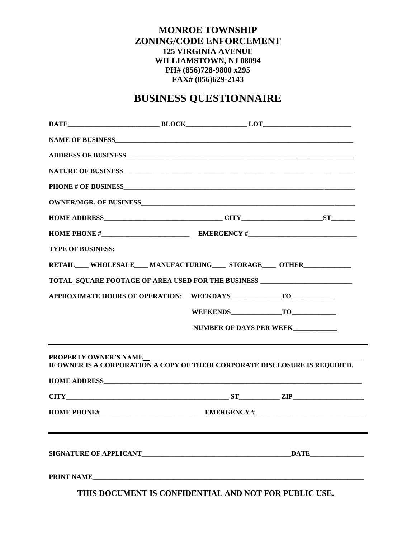#### **MONROE TOWNSHIP ZONING/CODE ENFORCEMENT 125 VIRGINIA AVENUE WILLIAMSTOWN, NJ 08094 PH# (856)728-9800 x295 FAX# (856)629-2143**

### **BUSINESS QUESTIONNAIRE**

| <b>TYPE OF BUSINESS:</b>                                                                                    |                         |
|-------------------------------------------------------------------------------------------------------------|-------------------------|
| RETAIL____ WHOLESALE____ MANUFACTURING_____ STORAGE____ OTHER______________                                 |                         |
| TOTAL SQUARE FOOTAGE OF AREA USED FOR THE BUSINESS _____________________________                            |                         |
|                                                                                                             |                         |
|                                                                                                             | WEEKENDS TO TO          |
|                                                                                                             | NUMBER OF DAYS PER WEEK |
| <b>PROPERTY OWNER'S NAME</b><br>IF OWNER IS A CORPORATION A COPY OF THEIR CORPORATE DISCLOSURE IS REQUIRED. |                         |
| $CITY$ 2IP                                                                                                  |                         |
|                                                                                                             |                         |
|                                                                                                             |                         |
|                                                                                                             |                         |

 **THIS DOCUMENT IS CONFIDENTIAL AND NOT FOR PUBLIC USE.**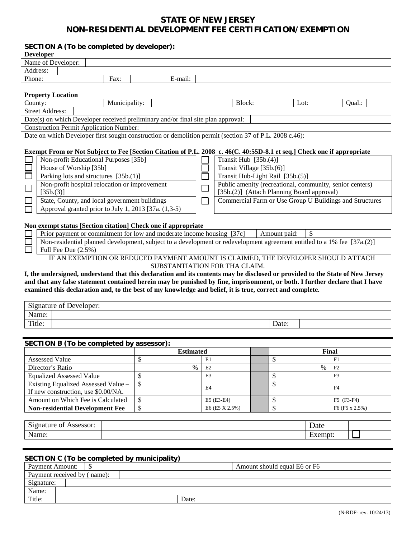#### **STATE OF NEW JERSEY NON-RESIDENTIAL DEVELOPMENT FEE CERTIFICATION/EXEMPTION**

#### **SECTION A (To be completed by developer):**

| <b>Developer</b> |                                                      |      |               |                                                                                                                        |  |                           |                                                          |      |        |  |
|------------------|------------------------------------------------------|------|---------------|------------------------------------------------------------------------------------------------------------------------|--|---------------------------|----------------------------------------------------------|------|--------|--|
|                  | Name of Developer:                                   |      |               |                                                                                                                        |  |                           |                                                          |      |        |  |
| Address:         |                                                      |      |               |                                                                                                                        |  |                           |                                                          |      |        |  |
| Phone:           |                                                      | Fax: |               | E-mail:                                                                                                                |  |                           |                                                          |      |        |  |
|                  |                                                      |      |               |                                                                                                                        |  |                           |                                                          |      |        |  |
|                  | <b>Property Location</b>                             |      |               |                                                                                                                        |  |                           |                                                          |      |        |  |
| County:          |                                                      |      | Municipality: |                                                                                                                        |  | Block:                    |                                                          | Lot: | Qual.: |  |
|                  | <b>Street Address:</b>                               |      |               |                                                                                                                        |  |                           |                                                          |      |        |  |
|                  |                                                      |      |               | Date(s) on which Developer received preliminary and/or final site plan approval:                                       |  |                           |                                                          |      |        |  |
|                  | <b>Construction Permit Application Number:</b>       |      |               |                                                                                                                        |  |                           |                                                          |      |        |  |
|                  |                                                      |      |               | Date on which Developer first sought construction or demolition permit (section 37 of P.L. 2008 c.46):                 |  |                           |                                                          |      |        |  |
|                  |                                                      |      |               |                                                                                                                        |  |                           |                                                          |      |        |  |
|                  |                                                      |      |               | Exempt From or Not Subject to Fee [Section Citation of P.L. 2008 c. 46(C. 40:55D-8.1 et seq.] Check one if appropriate |  |                           |                                                          |      |        |  |
|                  | Non-profit Educational Purposes [35b]                |      |               |                                                                                                                        |  | Transit Hub $[35b.(4)]$   |                                                          |      |        |  |
|                  | House of Worship [35b]                               |      |               |                                                                                                                        |  | Transit Village [35b.(6)] |                                                          |      |        |  |
|                  | Parking lots and structures [35b.(1)]                |      |               |                                                                                                                        |  |                           | Transit Hub-Light Rail [35b.(5)]                         |      |        |  |
|                  | Non-profit hospital relocation or improvement        |      |               |                                                                                                                        |  |                           | Public amenity (recreational, community, senior centers) |      |        |  |
| $\Box$           | [35b.3)]                                             |      |               |                                                                                                                        |  |                           | [35b.(2)] (Attach Planning Board approval)               |      |        |  |
| $\Box$           | State, County, and local government buildings        |      |               |                                                                                                                        |  |                           | Commercial Farm or Use Group U Buildings and Structures  |      |        |  |
|                  | Approval granted prior to July 1, 2013 [37a. (1,3-5) |      |               |                                                                                                                        |  |                           |                                                          |      |        |  |

#### **Non exempt status [Section citation] Check one if appropriate**

| Prior payment or commitment for low and moderate income housing [37c]                                                   | Amount paid: |
|-------------------------------------------------------------------------------------------------------------------------|--------------|
| Non-residential planned development, subject to a development or redevelopment agreement entitled to a 1% fee [37a.(2)] |              |
| Full Fee Due $(2.5\%)$                                                                                                  |              |
|                                                                                                                         | _____        |

IF AN EXEMPTION OR REDUCED PAYMENT AMOUNT IS CLAIMED, THE DEVELOPER SHOULD ATTACH SUBSTANTIATION FOR THA CLAIM.

**I, the undersigned, understand that this declaration and its contents may be disclosed or provided to the State of New Jersey and that any false statement contained herein may be punished by fine, imprisonment, or both. I further declare that I have examined this declaration and, to the best of my knowledge and belief, it is true, correct and complete.**

| $\sim$<br>$\sim$ $\sim$<br>Developer:<br>Signature of |       |  |
|-------------------------------------------------------|-------|--|
| <b>NT</b><br>Name:                                    |       |  |
| Title:                                                | Date: |  |

#### **SECTION B (To be completed by assessor):**

|                                                                            | <b>Estimated</b> |                  |      | Final            |
|----------------------------------------------------------------------------|------------------|------------------|------|------------------|
| <b>Assessed Value</b>                                                      |                  | E1               |      | F1               |
| Director's Ratio                                                           | $\%$             | E <sub>2</sub>   | $\%$ | F <sub>2</sub>   |
| <b>Equalized Assessed Value</b>                                            |                  | E <sub>3</sub>   |      | F <sub>3</sub>   |
| Existing Equalized Assessed Value -<br>If new construction, use \$0.00/NA. |                  | E <sub>4</sub>   |      | F <sub>4</sub>   |
| Amount on Which Fee is Calculated                                          |                  | $E5$ (E3-E4)     |      | $F5$ ( $F3-F4$ ) |
| <b>Non-residential Development Fee</b>                                     |                  | $E6$ (E5 X 2.5%) |      | $F6$ (F5 x 2.5%) |

| $\sim$<br>0.0000<br>-----<br>$\sim$<br>.<br>ושפט<br>້<br>$\sim$<br>$\sim$ $\sim$ | $\mathbf$<br>zau |  |
|----------------------------------------------------------------------------------|------------------|--|
| <b>NT</b><br>пe                                                                  |                  |  |

#### **SECTION C (To be completed by municipality)**

| Payment Amount:             |       | Amount should equal E6 or F6 |
|-----------------------------|-------|------------------------------|
| Payment received by (name): |       |                              |
| Signature:                  |       |                              |
| Name:                       |       |                              |
| Title:                      | Date: |                              |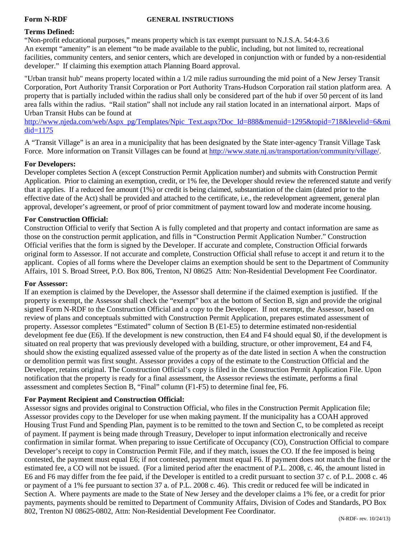#### **Form N-RDF GENERAL INSTRUCTIONS**

#### **Terms Defined:**

"Non-profit educational purposes," means property which is tax exempt pursuant to N.J.S.A. 54:4-3.6 An exempt "amenity" is an element "to be made available to the public, including, but not limited to, recreational facilities, community centers, and senior centers, which are developed in conjunction with or funded by a non-residential developer." If claiming this exemption attach Planning Board approval.

"Urban transit hub" means property located within a 1/2 mile radius surrounding the mid point of a New Jersey Transit Corporation, Port Authority Transit Corporation or Port Authority Trans-Hudson Corporation rail station platform area. A property that is partially included within the radius shall only be considered part of the hub if over 50 percent of its land area falls within the radius. "Rail station" shall not include any rail station located in an international airport. Maps of Urban Transit Hubs can be found at

[http://www.njeda.com/web/Aspx\\_pg/Templates/Npic\\_Text.aspx?Doc\\_Id=888&menuid=1295&topid=718&levelid=6&mi](http://www.njeda.com/web/Aspx_pg/Templates/Npic_Text.aspx?Doc_Id=888&menuid=1295&topid=718&levelid=6&midid=1175) [did=1175](http://www.njeda.com/web/Aspx_pg/Templates/Npic_Text.aspx?Doc_Id=888&menuid=1295&topid=718&levelid=6&midid=1175)

A "Transit Village" is an area in a municipality that has been designated by the State inter-agency Transit Village Task Force. More information on Transit Villages can be found at [http://www.state.nj.us/transportation/community/village/.](http://www.state.nj.us/transportation/community/village/)

#### **For Developers:**

Developer completes Section A (except Construction Permit Application number) and submits with Construction Permit Application. Prior to claiming an exemption, credit, or 1% fee, the Developer should review the referenced statute and verify that it applies. If a reduced fee amount (1%) or credit is being claimed, substantiation of the claim (dated prior to the effective date of the Act) shall be provided and attached to the certificate, i.e., the redevelopment agreement, general plan approval, developer's agreement, or proof of prior commitment of payment toward low and moderate income housing.

#### **For Construction Official:**

Construction Official to verify that Section A is fully completed and that property and contact information are same as those on the construction permit application, and fills in "Construction Permit Application Number." Construction Official verifies that the form is signed by the Developer. If accurate and complete, Construction Official forwards original form to Assessor. If not accurate and complete, Construction Official shall refuse to accept it and return it to the applicant. Copies of all forms where the Developer claims an exemption should be sent to the Department of Community Affairs, 101 S. Broad Street, P.O. Box 806, Trenton, NJ 08625 Attn: Non-Residential Development Fee Coordinator.

#### **For Assessor:**

If an exemption is claimed by the Developer, the Assessor shall determine if the claimed exemption is justified. If the property is exempt, the Assessor shall check the "exempt" box at the bottom of Section B, sign and provide the original signed Form N-RDF to the Construction Official and a copy to the Developer. If not exempt, the Assessor, based on review of plans and conceptuals submitted with Construction Permit Application, prepares estimated assessment of property. Assessor completes "Estimated" column of Section B (E1-E5) to determine estimated non-residential development fee due (E6). If the development is new construction, then E4 and F4 should equal \$0, if the development is situated on real property that was previously developed with a building, structure, or other improvement, E4 and F4, should show the existing equalized assessed value of the property as of the date listed in section A when the construction or demolition permit was first sought. Assessor provides a copy of the estimate to the Construction Official and the Developer, retains original. The Construction Official's copy is filed in the Construction Permit Application File. Upon notification that the property is ready for a final assessment, the Assessor reviews the estimate, performs a final assessment and completes Section B, "Final" column (F1-F5) to determine final fee, F6.

#### **For Payment Recipient and Construction Official:**

Assessor signs and provides original to Construction Official, who files in the Construction Permit Application file; Assessor provides copy to the Developer for use when making payment. If the municipality has a COAH approved Housing Trust Fund and Spending Plan, payment is to be remitted to the town and Section C, to be completed as receipt of payment. If payment is being made through Treasury, Developer to input information electronically and receive confirmation in similar format. When preparing to issue Certificate of Occupancy (CO), Construction Official to compare Developer's receipt to copy in Construction Permit File, and if they match, issues the CO. If the fee imposed is being contested, the payment must equal E6; if not contested, payment must equal F6. If payment does not match the final or the estimated fee, a CO will not be issued. (For a limited period after the enactment of P.L. 2008, c. 46, the amount listed in E6 and F6 may differ from the fee paid, if the Developer is entitled to a credit pursuant to section 37 c. of P.L. 2008 c. 46 or payment of a 1% fee pursuant to section 37 a. of P.L. 2008 c. 46). This credit or reduced fee will be indicated in Section A. Where payments are made to the State of New Jersey and the developer claims a 1% fee, or a credit for prior payments, payments should be remitted to Department of Community Affairs, Division of Codes and Standards, PO Box 802, Trenton NJ 08625-0802, Attn: Non-Residential Development Fee Coordinator. (N-RDF- rev. 10/24/13)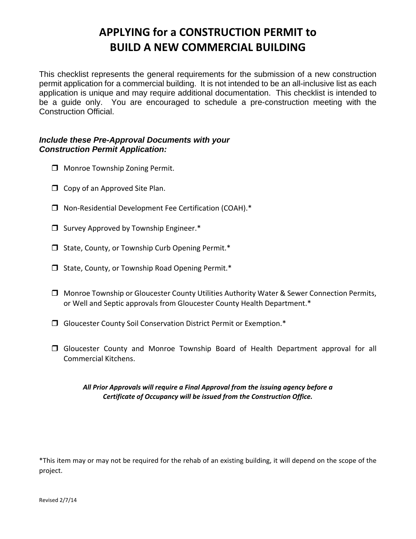### **APPLYING for a CONSTRUCTION PERMIT to BUILD A NEW COMMERCIAL BUILDING**

This checklist represents the general requirements for the submission of a new construction permit application for a commercial building. It is not intended to be an all-inclusive list as each application is unique and may require additional documentation. This checklist is intended to be a guide only. You are encouraged to schedule a pre-construction meeting with the Construction Official.

#### *Include these Pre-Approval Documents with your Construction Permit Application:*

- **I** Monroe Township Zoning Permit.
- $\Box$  Copy of an Approved Site Plan.
- Non‐Residential Development Fee Certification (COAH).\*
- $\Box$  Survey Approved by Township Engineer.\*
- $\Box$  State, County, or Township Curb Opening Permit.\*
- $\Box$  State, County, or Township Road Opening Permit.\*
- Monroe Township or Gloucester County Utilities Authority Water & Sewer Connection Permits, or Well and Septic approvals from Gloucester County Health Department.\*
- Gloucester County Soil Conservation District Permit or Exemption.\*
- Gloucester County and Monroe Township Board of Health Department approval for all Commercial Kitchens.

#### *All Prior Approvals will require a Final Approval from the issuing agency before a Certificate of Occupancy will be issued from the Construction Office.*

\*This item may or may not be required for the rehab of an existing building, it will depend on the scope of the project.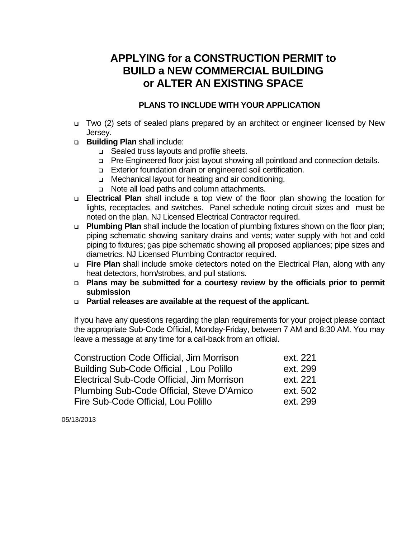### **APPLYING for a CONSTRUCTION PERMIT to BUILD a NEW COMMERCIAL BUILDING or ALTER AN EXISTING SPACE**

#### **PLANS TO INCLUDE WITH YOUR APPLICATION**

- □ Two (2) sets of sealed plans prepared by an architect or engineer licensed by New Jersey.
- **Building Plan** shall include:
	- □ Sealed truss layouts and profile sheets.
	- □ Pre-Engineered floor joist layout showing all pointload and connection details.
	- Exterior foundation drain or engineered soil certification.
	- □ Mechanical layout for heating and air conditioning.
	- □ Note all load paths and column attachments.
- **Electrical Plan** shall include a top view of the floor plan showing the location for lights, receptacles, and switches. Panel schedule noting circuit sizes and must be noted on the plan. NJ Licensed Electrical Contractor required.
- **Plumbing Plan** shall include the location of plumbing fixtures shown on the floor plan; piping schematic showing sanitary drains and vents; water supply with hot and cold piping to fixtures; gas pipe schematic showing all proposed appliances; pipe sizes and diametrics. NJ Licensed Plumbing Contractor required.
- **Fire Plan** shall include smoke detectors noted on the Electrical Plan, along with any heat detectors, horn/strobes, and pull stations.
- **Plans may be submitted for a courtesy review by the officials prior to permit submission**
- **Partial releases are available at the request of the applicant.**

If you have any questions regarding the plan requirements for your project please contact the appropriate Sub-Code Official, Monday-Friday, between 7 AM and 8:30 AM. You may leave a message at any time for a call-back from an official.

| <b>Construction Code Official, Jim Morrison</b> | ext. 221 |
|-------------------------------------------------|----------|
| <b>Building Sub-Code Official, Lou Polillo</b>  | ext. 299 |
| Electrical Sub-Code Official, Jim Morrison      | ext. 221 |
| Plumbing Sub-Code Official, Steve D'Amico       | ext. 502 |
| Fire Sub-Code Official, Lou Polillo             | ext. 299 |

05/13/2013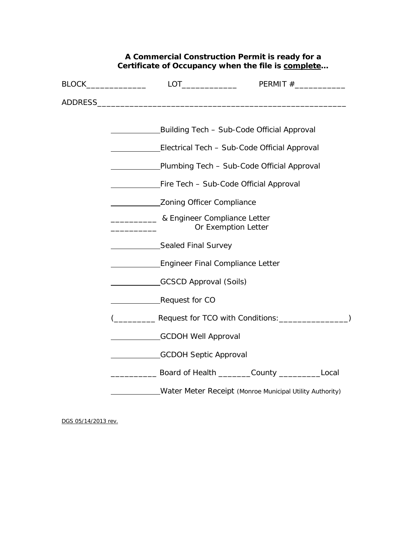#### **A Commercial Construction Permit is ready for a Certificate of Occupancy when the file is complete…**

| Building Tech - Sub-Code Official Approval                                                                                                                                                                                          |
|-------------------------------------------------------------------------------------------------------------------------------------------------------------------------------------------------------------------------------------|
| Electrical Tech - Sub-Code Official Approval                                                                                                                                                                                        |
| Plumbing Tech - Sub-Code Official Approval                                                                                                                                                                                          |
| Fire Tech - Sub-Code Official Approval                                                                                                                                                                                              |
| Zoning Officer Compliance                                                                                                                                                                                                           |
| <b>Example 19 &amp; Engineer Compliance Letter</b><br>Or Exemption Letter                                                                                                                                                           |
| Sealed Final Survey                                                                                                                                                                                                                 |
| Engineer Final Compliance Letter                                                                                                                                                                                                    |
| GCSCD Approval (Soils)                                                                                                                                                                                                              |
| Request for CO                                                                                                                                                                                                                      |
| ( <b>COLLECTIVE ASSESSI</b> FOR TCO with Conditions: COLLECTIVE ASSESSMENT ASSESSMENT ASSESSMENT ASSESSMENT ASSESSMENT ASSESSMENT ASSESSMENT ASSESSMENT ASSESSMENT ASSESSMENT ASSESSMENT ASSESSMENT ASSESSMENT ASSESSMENT ASSESSMEN |
| GCDOH Well Approval                                                                                                                                                                                                                 |
| GCDOH Septic Approval                                                                                                                                                                                                               |
| Example 2008 Board of Health County County County Counter and Local                                                                                                                                                                 |
| Water Meter Receipt (Monroe Municipal Utility Authority)                                                                                                                                                                            |

DGS 05/14/2013 rev.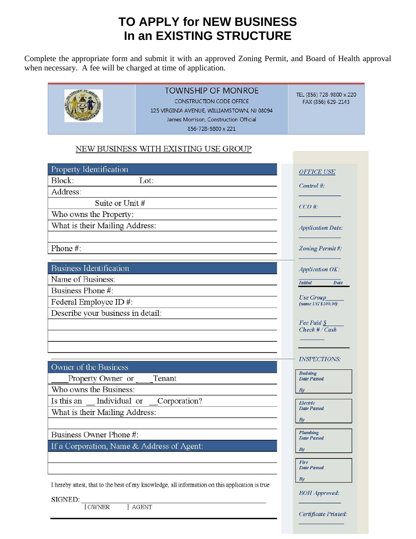### **TO APPLY for NEW BUSINESS In an EXISTING STRUCTURE**

Complete the appropriate form and submit it with an approved Zoning Permit, and Board of Health approval when necessary. A fee will be charged at time of application.



### **TOWNSHIP OF MONROE**

CONSTRUCTION CODE OFFICE 125 VIRGINIA AVENUE, WILLIAMSTOWN, NJ 08094 James Morrison, Construction Official 856-728-9800 x 221

TEL (856) 728-9800 x 220 FAX (856) 629-2143

#### NEW BUSINESS WITH EXISTING USE GROUP

| Property Identification                                                                        | <b>OFFICE USE</b>                      |
|------------------------------------------------------------------------------------------------|----------------------------------------|
| Block:<br>Lot:                                                                                 | Control #:                             |
| Address:                                                                                       |                                        |
| Suite or Unit #                                                                                | $CCO \#$                               |
| Who owns the Property:                                                                         |                                        |
| What is their Mailing Address:                                                                 | <b>Application Date:</b>               |
| Phone #:                                                                                       | Zoning Permit#:                        |
| <b>Business Identification</b>                                                                 | <b>Application OK:</b>                 |
| Name of Business:                                                                              | <b>Initial</b><br>Date                 |
| Business Phone #:                                                                              |                                        |
| Federal Employee ID#:                                                                          | <b>Use Group</b><br>(same UG \$100.00) |
| Describe your business in detail:                                                              |                                        |
|                                                                                                | Fee Paid §                             |
|                                                                                                | $Check$ # / $Cash$                     |
| Owner of the Business                                                                          | <b>INSPECTIONS:</b>                    |
| Property Owner or<br>Tenant                                                                    | <b>Building</b><br><b>Date Passed</b>  |
| Who owns the Business:                                                                         | By                                     |
| Individual or<br>Corporation?<br>Is this an                                                    | Electric                               |
| What is their Mailing Address:                                                                 | <b>Date Passed</b>                     |
|                                                                                                | By                                     |
| Business Owner Phone #:                                                                        | Plumbing                               |
| If a Corporation, Name & Address of Agent:                                                     | <b>Date Passed</b>                     |
|                                                                                                | Bv                                     |
|                                                                                                | Fire<br><b>Date Passed</b>             |
|                                                                                                | By                                     |
| I hereby attest, that to the best of my knowledge, all information on this application is true |                                        |
| SIGNED:<br><b>AGENT</b><br><b>OWNER</b>                                                        | <b>BOH</b> Approved:                   |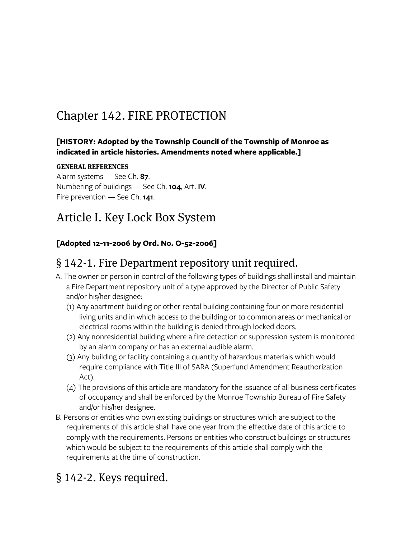## Chapter 142. FIRE PROTECTION

#### **[HISTORY: Adopted by the Township Council of the Township of Monroe as indicated in article histories. Amendments noted where applicable.]**

#### GENERAL REFERENCES

Alarm systems — See Ch. **87**. Numbering of buildings — See Ch. **104**, Art. **IV**. Fire prevention — See Ch. **141**.

### Article I. Key Lock Box System

#### **[Adopted 12-11-2006 by Ord. No. O-52-2006]**

### § 142-1. Fire Department repository unit required.

- A. The owner or person in control of the following types of buildings shall install and maintain a Fire Department repository unit of a type approved by the Director of Public Safety and/or his/her designee:
	- (1) Any apartment building or other rental building containing four or more residential living units and in which access to the building or to common areas or mechanical or electrical rooms within the building is denied through locked doors.
	- (2) Any nonresidential building where a fire detection or suppression system is monitored by an alarm company or has an external audible alarm.
	- (3) Any building or facility containing a quantity of hazardous materials which would require compliance with Title III of SARA (Superfund Amendment Reauthorization Act).
	- (4) The provisions of this article are mandatory for the issuance of all business certificates of occupancy and shall be enforced by the Monroe Township Bureau of Fire Safety and/or his/her designee.
- B. Persons or entities who own existing buildings or structures which are subject to the requirements of this article shall have one year from the effective date of this article to comply with the requirements. Persons or entities who construct buildings or structures which would be subject to the requirements of this article shall comply with the requirements at the time of construction.

### § 142-2. Keys required.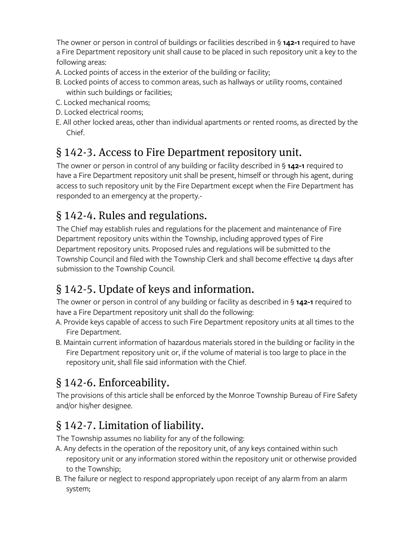The owner or person in control of buildings or facilities described in § **142-1** required to have a Fire Department repository unit shall cause to be placed in such repository unit a key to the following areas:

- A. Locked points of access in the exterior of the building or facility;
- B. Locked points of access to common areas, such as hallways or utility rooms, contained within such buildings or facilities;
- C. Locked mechanical rooms;
- D. Locked electrical rooms;
- E. All other locked areas, other than individual apartments or rented rooms, as directed by the Chief.

### § 142-3. Access to Fire Department repository unit.

The owner or person in control of any building or facility described in § **142-1** required to have a Fire Department repository unit shall be present, himself or through his agent, during access to such repository unit by the Fire Department except when the Fire Department has responded to an emergency at the property.-

### § 142-4. Rules and regulations.

The Chief may establish rules and regulations for the placement and maintenance of Fire Department repository units within the Township, including approved types of Fire Department repository units. Proposed rules and regulations will be submitted to the Township Council and filed with the Township Clerk and shall become effective 14 days after submission to the Township Council.

### § 142-5. Update of keys and information.

The owner or person in control of any building or facility as described in § **142-1** required to have a Fire Department repository unit shall do the following:

- A. Provide keys capable of access to such Fire Department repository units at all times to the Fire Department.
- B. Maintain current information of hazardous materials stored in the building or facility in the Fire Department repository unit or, if the volume of material is too large to place in the repository unit, shall file said information with the Chief.

## § 142-6. Enforceability.

The provisions of this article shall be enforced by the Monroe Township Bureau of Fire Safety and/or his/her designee.

### § 142-7. Limitation of liability.

The Township assumes no liability for any of the following:

- A. Any defects in the operation of the repository unit, of any keys contained within such repository unit or any information stored within the repository unit or otherwise provided to the Township;
- B. The failure or neglect to respond appropriately upon receipt of any alarm from an alarm system;